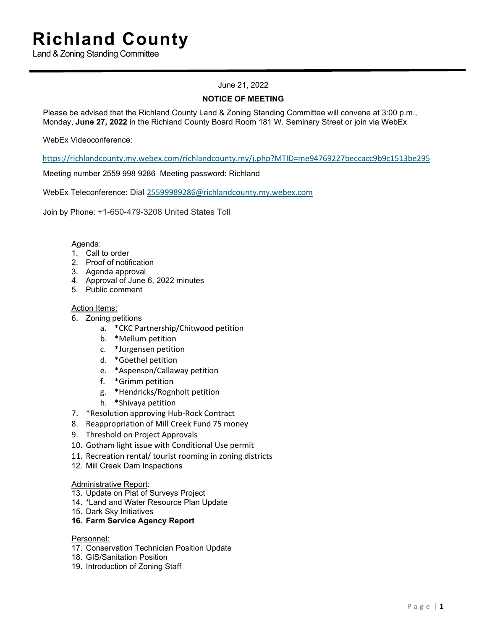Land & Zoning Standing Committee

## June 21, 2022

### **NOTICE OF MEETING**

Please be advised that the Richland County Land & Zoning Standing Committee will convene at 3:00 p.m., Monday, **June 27, 2022** in the Richland County Board Room 181 W. Seminary Street or join via WebEx

WebEx Videoconference:

[https://richlandcounty.my.webex.com/richlandcounty.my/j.php?MTID=me94769227beccacc9b9c1513be295](https://gcc02.safelinks.protection.outlook.com/?url=https%3A%2F%2Frichlandcounty.my.webex.com%2Frichlandcounty.my%2Fj.php%3FMTID%3Dme94769227beccacc9b9c1513be295be5&data=05%7C01%7C%7Cff9bb2b6676a4121290608da507cab9d%7Ced5b36e701ee4ebc867ee03cfa0d4697%7C0%7C0%7C637910793639605068%7CUnknown%7CTWFpbGZsb3d8eyJWIjoiMC4wLjAwMDAiLCJQIjoiV2luMzIiLCJBTiI6Ik1haWwiLCJXVCI6Mn0%3D%7C3000%7C%7C%7C&sdata=POdMNF%2FIljLaU9gkpypO8AyF9bFHtOP65xvLGzqBPII%3D&reserved=0)

[Mee](https://gcc02.safelinks.protection.outlook.com/?url=https%3A%2F%2Frichlandcounty.my.webex.com%2Frichlandcounty.my%2Fj.php%3FMTID%3Dme94769227beccacc9b9c1513be295be5&data=05%7C01%7C%7Cff9bb2b6676a4121290608da507cab9d%7Ced5b36e701ee4ebc867ee03cfa0d4697%7C0%7C0%7C637910793639605068%7CUnknown%7CTWFpbGZsb3d8eyJWIjoiMC4wLjAwMDAiLCJQIjoiV2luMzIiLCJBTiI6Ik1haWwiLCJXVCI6Mn0%3D%7C3000%7C%7C%7C&sdata=POdMNF%2FIljLaU9gkpypO8AyF9bFHtOP65xvLGzqBPII%3D&reserved=0)ting number 2559 998 9286 Meeting password: Richland

WebEx Teleconference: Dial 25599989286@richlandcounty.my.webex.com

Join by Phone: +1-650-479-3208 United States Toll

#### Agenda:

- 1. Call to order
- 2. Proof of notification
- 3. Agenda approval
- 4. Approval of June 6, 2022 minutes
- 5. Public comment

#### Action Items:

- 6. Zoning petitions
	- a. \*CKC Partnership/Chitwood petition
	- b. \*Mellum petition
	- c. \*Jurgensen petition
	- d. \*Goethel petition
	- e. \*Aspenson/Callaway petition
	- f. \*Grimm petition
	- g. \*Hendricks/Rognholt petition
	- h. \*Shivaya petition
- 7. \*Resolution approving Hub-Rock Contract
- 8. Reappropriation of Mill Creek Fund 75 money
- 9. Threshold on Project Approvals
- 10. Gotham light issue with Conditional Use permit
- 11. Recreation rental/ tourist rooming in zoning districts
- 12. Mill Creek Dam Inspections

#### Administrative Report:

- 13. Update on Plat of Surveys Project
- 14. \*Land and Water Resource Plan Update
- 15. Dark Sky Initiatives
- **16. Farm Service Agency Report**

#### Personnel:

- 17. Conservation Technician Position Update
- 18. GIS/Sanitation Position
- 19. Introduction of Zoning Staff